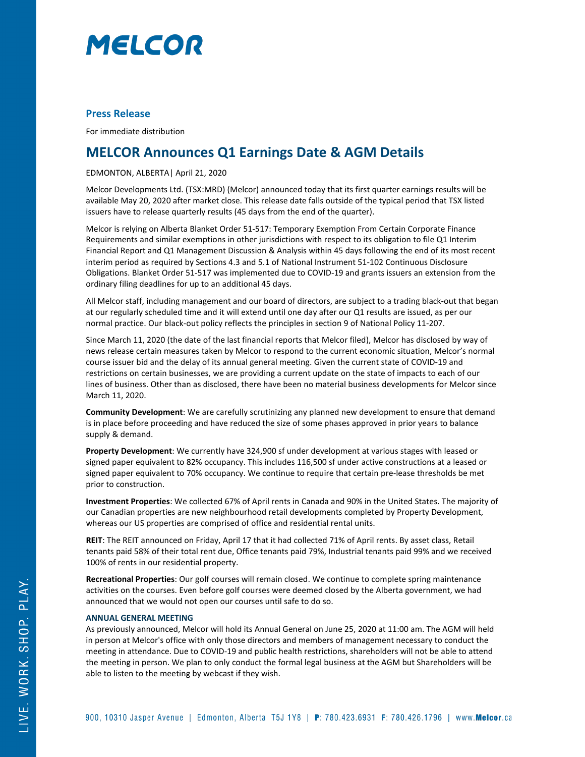

# **Press Release**

For immediate distribution

# **MELCOR Announces Q1 Earnings Date & AGM Details**

# EDMONTON, ALBERTA| April 21, 2020

Melcor Developments Ltd. (TSX:MRD) (Melcor) announced today that its first quarter earnings results will be available May 20, 2020 after market close. This release date falls outside of the typical period that TSX listed issuers have to release quarterly results (45 days from the end of the quarter).

Melcor is relying on Alberta Blanket Order 51-517: Temporary Exemption From Certain Corporate Finance Requirements and similar exemptions in other jurisdictions with respect to its obligation to file Q1 Interim Financial Report and Q1 Management Discussion & Analysis within 45 days following the end of its most recent interim period as required by Sections 4.3 and 5.1 of National Instrument 51-102 Continuous Disclosure Obligations. Blanket Order 51-517 was implemented due to COVID-19 and grants issuers an extension from the ordinary filing deadlines for up to an additional 45 days.

All Melcor staff, including management and our board of directors, are subject to a trading black-out that began at our regularly scheduled time and it will extend until one day after our Q1 results are issued, as per our normal practice. Our black-out policy reflects the principles in section 9 of National Policy 11-207.

Since March 11, 2020 (the date of the last financial reports that Melcor filed), Melcor has disclosed by way of news release certain measures taken by Melcor to respond to the current economic situation, Melcor's normal course issuer bid and the delay of its annual general meeting. Given the current state of COVID-19 and restrictions on certain businesses, we are providing a current update on the state of impacts to each of our lines of business. Other than as disclosed, there have been no material business developments for Melcor since March 11, 2020.

**Community Development**: We are carefully scrutinizing any planned new development to ensure that demand is in place before proceeding and have reduced the size of some phases approved in prior years to balance supply & demand.

**Property Development**: We currently have 324,900 sf under development at various stages with leased or signed paper equivalent to 82% occupancy. This includes 116,500 sf under active constructions at a leased or signed paper equivalent to 70% occupancy. We continue to require that certain pre-lease thresholds be met prior to construction.

**Investment Properties**: We collected 67% of April rents in Canada and 90% in the United States. The majority of our Canadian properties are new neighbourhood retail developments completed by Property Development, whereas our US properties are comprised of office and residential rental units.

**REIT**: The REIT announced on Friday, April 17 that it had collected 71% of April rents. By asset class, Retail tenants paid 58% of their total rent due, Office tenants paid 79%, Industrial tenants paid 99% and we received 100% of rents in our residential property.

**Recreational Properties**: Our golf courses will remain closed. We continue to complete spring maintenance activities on the courses. Even before golf courses were deemed closed by the Alberta government, we had announced that we would not open our courses until safe to do so.

## **ANNUAL GENERAL MEETING**

As previously announced, Melcor will hold its Annual General on June 25, 2020 at 11:00 am. The AGM will held in person at Melcor's office with only those directors and members of management necessary to conduct the meeting in attendance. Due to COVID-19 and public health restrictions, shareholders will not be able to attend the meeting in person. We plan to only conduct the formal legal business at the AGM but Shareholders will be able to listen to the meeting by webcast if they wish.